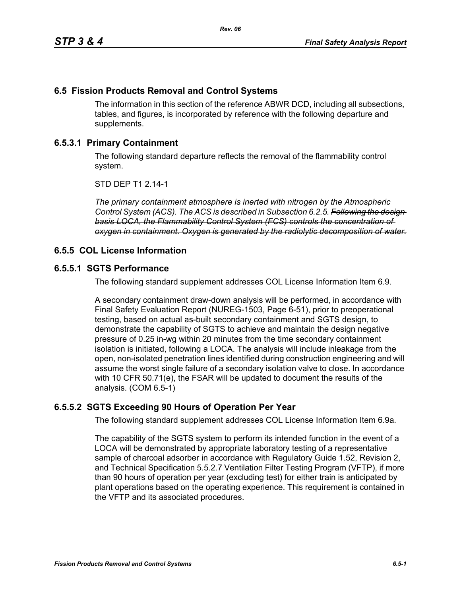## **6.5 Fission Products Removal and Control Systems**

The information in this section of the reference ABWR DCD, including all subsections, tables, and figures, is incorporated by reference with the following departure and supplements.

# **6.5.3.1 Primary Containment**

The following standard departure reflects the removal of the flammability control system.

STD DEP T1 2.14-1

*The primary containment atmosphere is inerted with nitrogen by the Atmospheric Control System (ACS). The ACS is described in Subsection 6.2.5. Following the design basis LOCA, the Flammability Control System (FCS) controls the concentration of oxygen in containment. Oxygen is generated by the radiolytic decomposition of water.*

## **6.5.5 COL License Information**

## **6.5.5.1 SGTS Performance**

The following standard supplement addresses COL License Information Item 6.9.

A secondary containment draw-down analysis will be performed, in accordance with Final Safety Evaluation Report (NUREG-1503, Page 6-51), prior to preoperational testing, based on actual as-built secondary containment and SGTS design, to demonstrate the capability of SGTS to achieve and maintain the design negative pressure of 0.25 in-wg within 20 minutes from the time secondary containment isolation is initiated, following a LOCA. The analysis will include inleakage from the open, non-isolated penetration lines identified during construction engineering and will assume the worst single failure of a secondary isolation valve to close. In accordance with 10 CFR 50.71(e), the FSAR will be updated to document the results of the analysis. (COM 6.5-1)

## **6.5.5.2 SGTS Exceeding 90 Hours of Operation Per Year**

The following standard supplement addresses COL License Information Item 6.9a.

The capability of the SGTS system to perform its intended function in the event of a LOCA will be demonstrated by appropriate laboratory testing of a representative sample of charcoal adsorber in accordance with Regulatory Guide 1.52, Revision 2, and Technical Specification 5.5.2.7 Ventilation Filter Testing Program (VFTP), if more than 90 hours of operation per year (excluding test) for either train is anticipated by plant operations based on the operating experience. This requirement is contained in the VFTP and its associated procedures.